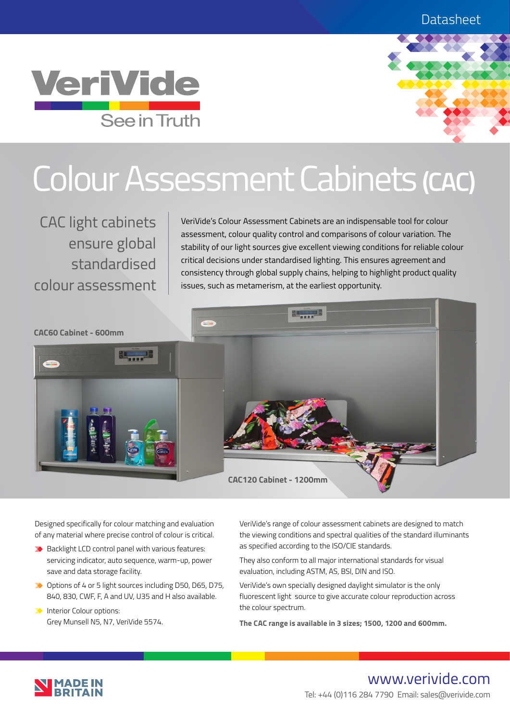



# Colour Assessment Cabinets **(CAC)**

CAC light cabinets ensure global standardised colour assessment

VeriVide's Colour Assessment Cabinets are an indispensable tool for colour assessment, colour quality control and comparisons of colour variation. The stability of our light sources give excellent viewing conditions for reliable colour critical decisions under standardised lighting. This ensures agreement and consistency through global supply chains, helping to highlight product quality issues, such as metamerism, at the earliest opportunity.



Designed specifically for colour matching and evaluation of any material where precise control of colour is critical.

- $\rightarrow$  Backlight LCD control panel with various features: servicing indicator, auto sequence, warm-up, power save and data storage facility.
- ◆ Options of 4 or 5 light sources including D50, D65, D75, 840, 830, CWF, F, A and UV, U35 and H also available.
- **Interior Colour options:** Grey Munsell N5, N7, VeriVide 5574.

VeriVide's range of colour assessment cabinets are designed to match the viewing conditions and spectral qualities of the standard illuminants as specified according to the ISO/CIE standards.

They also conform to all major international standards for visual evaluation, including ASTM, AS, BSI, DIN and ISO.

VeriVide's own specially designed daylight simulator is the only fluorescent light source to give accurate colour reproduction across the colour spectrum.

**The CAC range is available in 3 sizes; 1500, 1200 and 600mm.**



# www.verivide.com Tel: +44 (0)116 284 7790 Email: sales@verivide.com